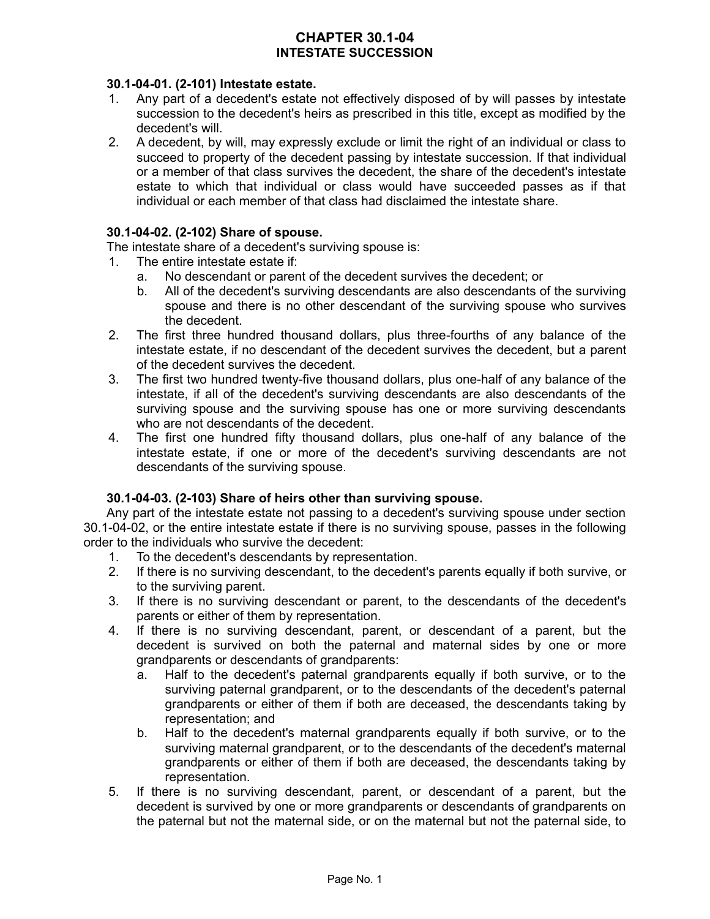# **CHAPTER 30.1-04 INTESTATE SUCCESSION**

## **30.1-04-01. (2-101) Intestate estate.**

- 1. Any part of a decedent's estate not effectively disposed of by will passes by intestate succession to the decedent's heirs as prescribed in this title, except as modified by the decedent's will.
- 2. A decedent, by will, may expressly exclude or limit the right of an individual or class to succeed to property of the decedent passing by intestate succession. If that individual or a member of that class survives the decedent, the share of the decedent's intestate estate to which that individual or class would have succeeded passes as if that individual or each member of that class had disclaimed the intestate share.

# **30.1-04-02. (2-102) Share of spouse.**

The intestate share of a decedent's surviving spouse is:

- 1. The entire intestate estate if:
	- a. No descendant or parent of the decedent survives the decedent; or
	- b. All of the decedent's surviving descendants are also descendants of the surviving spouse and there is no other descendant of the surviving spouse who survives the decedent.
- 2. The first three hundred thousand dollars, plus three-fourths of any balance of the intestate estate, if no descendant of the decedent survives the decedent, but a parent of the decedent survives the decedent.
- 3. The first two hundred twenty-five thousand dollars, plus one-half of any balance of the intestate, if all of the decedent's surviving descendants are also descendants of the surviving spouse and the surviving spouse has one or more surviving descendants who are not descendants of the decedent.
- 4. The first one hundred fifty thousand dollars, plus one-half of any balance of the intestate estate, if one or more of the decedent's surviving descendants are not descendants of the surviving spouse.

# **30.1-04-03. (2-103) Share of heirs other than surviving spouse.**

Any part of the intestate estate not passing to a decedent's surviving spouse under section 30.1-04-02, or the entire intestate estate if there is no surviving spouse, passes in the following order to the individuals who survive the decedent:

- 1. To the decedent's descendants by representation.
- 2. If there is no surviving descendant, to the decedent's parents equally if both survive, or to the surviving parent.
- 3. If there is no surviving descendant or parent, to the descendants of the decedent's parents or either of them by representation.
- 4. If there is no surviving descendant, parent, or descendant of a parent, but the decedent is survived on both the paternal and maternal sides by one or more grandparents or descendants of grandparents:
	- a. Half to the decedent's paternal grandparents equally if both survive, or to the surviving paternal grandparent, or to the descendants of the decedent's paternal grandparents or either of them if both are deceased, the descendants taking by representation; and
	- b. Half to the decedent's maternal grandparents equally if both survive, or to the surviving maternal grandparent, or to the descendants of the decedent's maternal grandparents or either of them if both are deceased, the descendants taking by representation.
- 5. If there is no surviving descendant, parent, or descendant of a parent, but the decedent is survived by one or more grandparents or descendants of grandparents on the paternal but not the maternal side, or on the maternal but not the paternal side, to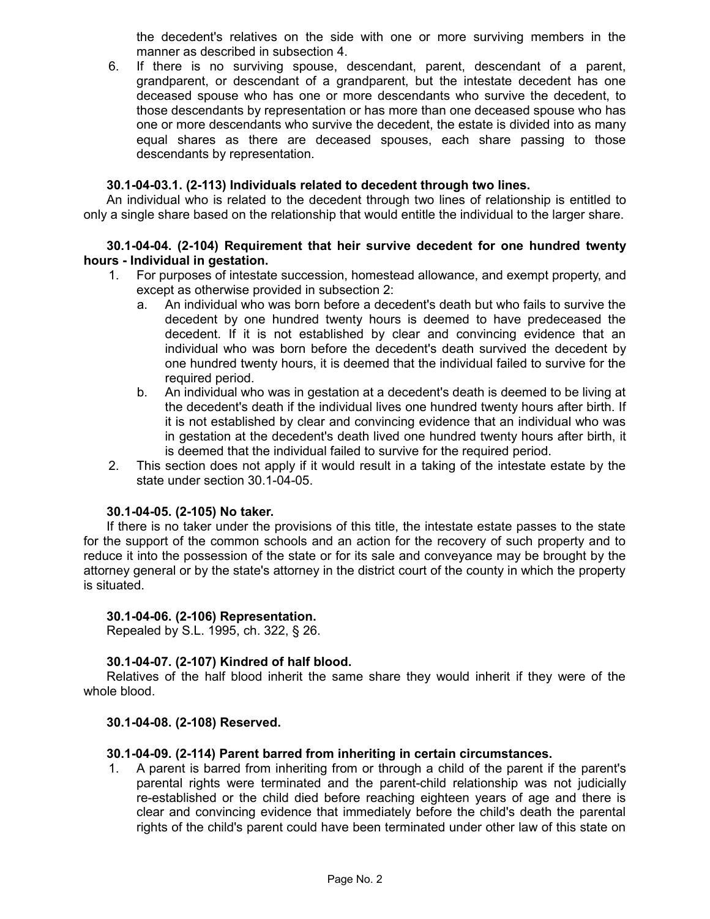the decedent's relatives on the side with one or more surviving members in the manner as described in subsection 4.

6. If there is no surviving spouse, descendant, parent, descendant of a parent, grandparent, or descendant of a grandparent, but the intestate decedent has one deceased spouse who has one or more descendants who survive the decedent, to those descendants by representation or has more than one deceased spouse who has one or more descendants who survive the decedent, the estate is divided into as many equal shares as there are deceased spouses, each share passing to those descendants by representation.

## **30.1-04-03.1. (2-113) Individuals related to decedent through two lines.**

An individual who is related to the decedent through two lines of relationship is entitled to only a single share based on the relationship that would entitle the individual to the larger share.

## **30.1-04-04. (2-104) Requirement that heir survive decedent for one hundred twenty hours - Individual in gestation.**

- 1. For purposes of intestate succession, homestead allowance, and exempt property, and except as otherwise provided in subsection 2:
	- a. An individual who was born before a decedent's death but who fails to survive the decedent by one hundred twenty hours is deemed to have predeceased the decedent. If it is not established by clear and convincing evidence that an individual who was born before the decedent's death survived the decedent by one hundred twenty hours, it is deemed that the individual failed to survive for the required period.
	- b. An individual who was in gestation at a decedent's death is deemed to be living at the decedent's death if the individual lives one hundred twenty hours after birth. If it is not established by clear and convincing evidence that an individual who was in gestation at the decedent's death lived one hundred twenty hours after birth, it is deemed that the individual failed to survive for the required period.
- 2. This section does not apply if it would result in a taking of the intestate estate by the state under section 30.1-04-05.

## **30.1-04-05. (2-105) No taker.**

If there is no taker under the provisions of this title, the intestate estate passes to the state for the support of the common schools and an action for the recovery of such property and to reduce it into the possession of the state or for its sale and conveyance may be brought by the attorney general or by the state's attorney in the district court of the county in which the property is situated.

## **30.1-04-06. (2-106) Representation.**

Repealed by S.L. 1995, ch. 322, § 26.

## **30.1-04-07. (2-107) Kindred of half blood.**

Relatives of the half blood inherit the same share they would inherit if they were of the whole blood.

## **30.1-04-08. (2-108) Reserved.**

## **30.1-04-09. (2-114) Parent barred from inheriting in certain circumstances.**

1. A parent is barred from inheriting from or through a child of the parent if the parent's parental rights were terminated and the parent-child relationship was not judicially re-established or the child died before reaching eighteen years of age and there is clear and convincing evidence that immediately before the child's death the parental rights of the child's parent could have been terminated under other law of this state on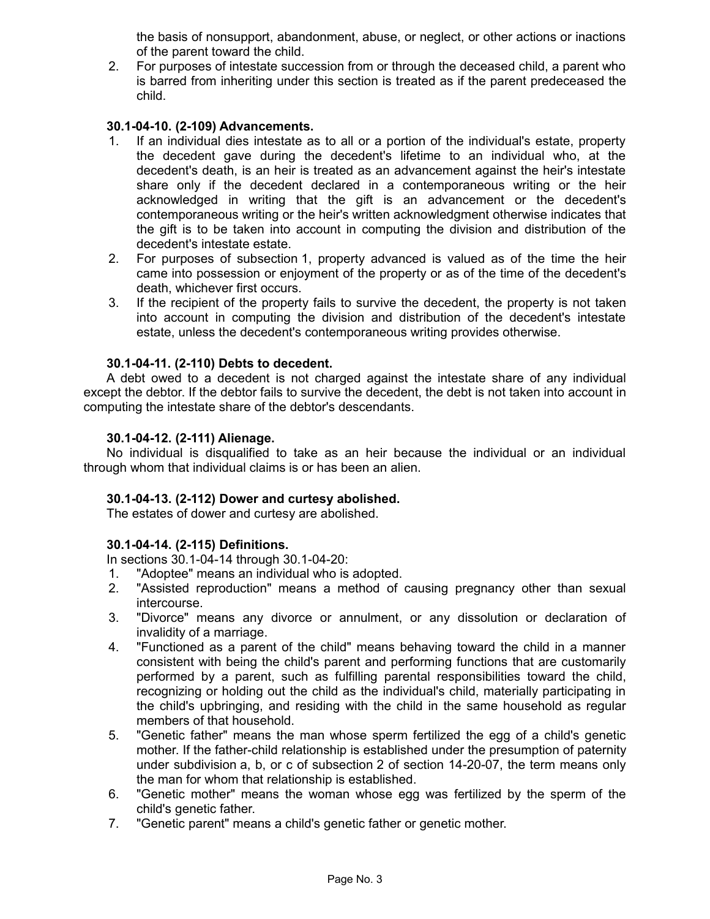the basis of nonsupport, abandonment, abuse, or neglect, or other actions or inactions of the parent toward the child.

2. For purposes of intestate succession from or through the deceased child, a parent who is barred from inheriting under this section is treated as if the parent predeceased the child.

## **30.1-04-10. (2-109) Advancements.**

- 1. If an individual dies intestate as to all or a portion of the individual's estate, property the decedent gave during the decedent's lifetime to an individual who, at the decedent's death, is an heir is treated as an advancement against the heir's intestate share only if the decedent declared in a contemporaneous writing or the heir acknowledged in writing that the gift is an advancement or the decedent's contemporaneous writing or the heir's written acknowledgment otherwise indicates that the gift is to be taken into account in computing the division and distribution of the decedent's intestate estate.
- 2. For purposes of subsection 1, property advanced is valued as of the time the heir came into possession or enjoyment of the property or as of the time of the decedent's death, whichever first occurs.
- 3. If the recipient of the property fails to survive the decedent, the property is not taken into account in computing the division and distribution of the decedent's intestate estate, unless the decedent's contemporaneous writing provides otherwise.

## **30.1-04-11. (2-110) Debts to decedent.**

A debt owed to a decedent is not charged against the intestate share of any individual except the debtor. If the debtor fails to survive the decedent, the debt is not taken into account in computing the intestate share of the debtor's descendants.

## **30.1-04-12. (2-111) Alienage.**

No individual is disqualified to take as an heir because the individual or an individual through whom that individual claims is or has been an alien.

## **30.1-04-13. (2-112) Dower and curtesy abolished.**

The estates of dower and curtesy are abolished.

# **30.1-04-14. (2-115) Definitions.**

In sections 30.1-04-14 through 30.1-04-20:

- 1. "Adoptee" means an individual who is adopted.
- 2. "Assisted reproduction" means a method of causing pregnancy other than sexual intercourse.
- 3. "Divorce" means any divorce or annulment, or any dissolution or declaration of invalidity of a marriage.
- 4. "Functioned as a parent of the child" means behaving toward the child in a manner consistent with being the child's parent and performing functions that are customarily performed by a parent, such as fulfilling parental responsibilities toward the child, recognizing or holding out the child as the individual's child, materially participating in the child's upbringing, and residing with the child in the same household as regular members of that household.
- 5. "Genetic father" means the man whose sperm fertilized the egg of a child's genetic mother. If the father-child relationship is established under the presumption of paternity under subdivision a, b, or c of subsection 2 of section 14-20-07, the term means only the man for whom that relationship is established.
- 6. "Genetic mother" means the woman whose egg was fertilized by the sperm of the child's genetic father.
- 7. "Genetic parent" means a child's genetic father or genetic mother.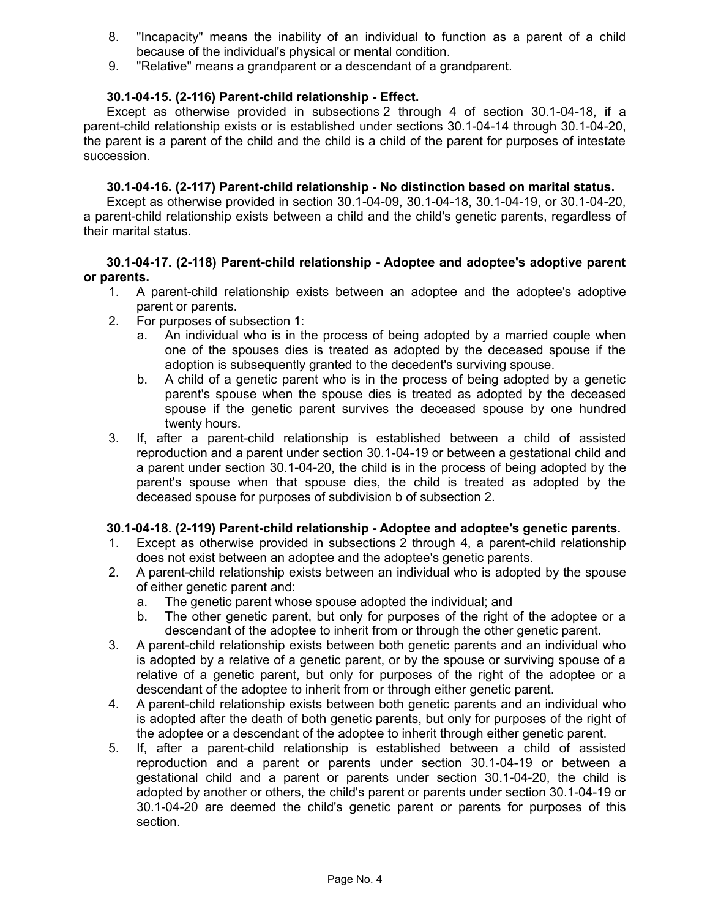- 8. "Incapacity" means the inability of an individual to function as a parent of a child because of the individual's physical or mental condition.
- 9. "Relative" means a grandparent or a descendant of a grandparent.

## **30.1-04-15. (2-116) Parent-child relationship - Effect.**

Except as otherwise provided in subsections 2 through 4 of section 30.1-04-18, if a parent-child relationship exists or is established under sections 30.1-04-14 through 30.1-04-20, the parent is a parent of the child and the child is a child of the parent for purposes of intestate succession.

## **30.1-04-16. (2-117) Parent-child relationship - No distinction based on marital status.**

Except as otherwise provided in section 30.1-04-09, 30.1-04-18, 30.1-04-19, or 30.1-04-20, a parent-child relationship exists between a child and the child's genetic parents, regardless of their marital status.

## **30.1-04-17. (2-118) Parent-child relationship - Adoptee and adoptee's adoptive parent or parents.**

- 1. A parent-child relationship exists between an adoptee and the adoptee's adoptive parent or parents.
- 2. For purposes of subsection 1:
	- a. An individual who is in the process of being adopted by a married couple when one of the spouses dies is treated as adopted by the deceased spouse if the adoption is subsequently granted to the decedent's surviving spouse.
	- b. A child of a genetic parent who is in the process of being adopted by a genetic parent's spouse when the spouse dies is treated as adopted by the deceased spouse if the genetic parent survives the deceased spouse by one hundred twenty hours.
- 3. If, after a parent-child relationship is established between a child of assisted reproduction and a parent under section 30.1-04-19 or between a gestational child and a parent under section 30.1-04-20, the child is in the process of being adopted by the parent's spouse when that spouse dies, the child is treated as adopted by the deceased spouse for purposes of subdivision b of subsection 2.

## **30.1-04-18. (2-119) Parent-child relationship - Adoptee and adoptee's genetic parents.**

- 1. Except as otherwise provided in subsections 2 through 4, a parent-child relationship does not exist between an adoptee and the adoptee's genetic parents.
- 2. A parent-child relationship exists between an individual who is adopted by the spouse of either genetic parent and:
	- a. The genetic parent whose spouse adopted the individual; and
	- b. The other genetic parent, but only for purposes of the right of the adoptee or a descendant of the adoptee to inherit from or through the other genetic parent.
- 3. A parent-child relationship exists between both genetic parents and an individual who is adopted by a relative of a genetic parent, or by the spouse or surviving spouse of a relative of a genetic parent, but only for purposes of the right of the adoptee or a descendant of the adoptee to inherit from or through either genetic parent.
- 4. A parent-child relationship exists between both genetic parents and an individual who is adopted after the death of both genetic parents, but only for purposes of the right of the adoptee or a descendant of the adoptee to inherit through either genetic parent.
- 5. If, after a parent-child relationship is established between a child of assisted reproduction and a parent or parents under section 30.1-04-19 or between a gestational child and a parent or parents under section 30.1-04-20, the child is adopted by another or others, the child's parent or parents under section 30.1-04-19 or 30.1-04-20 are deemed the child's genetic parent or parents for purposes of this section.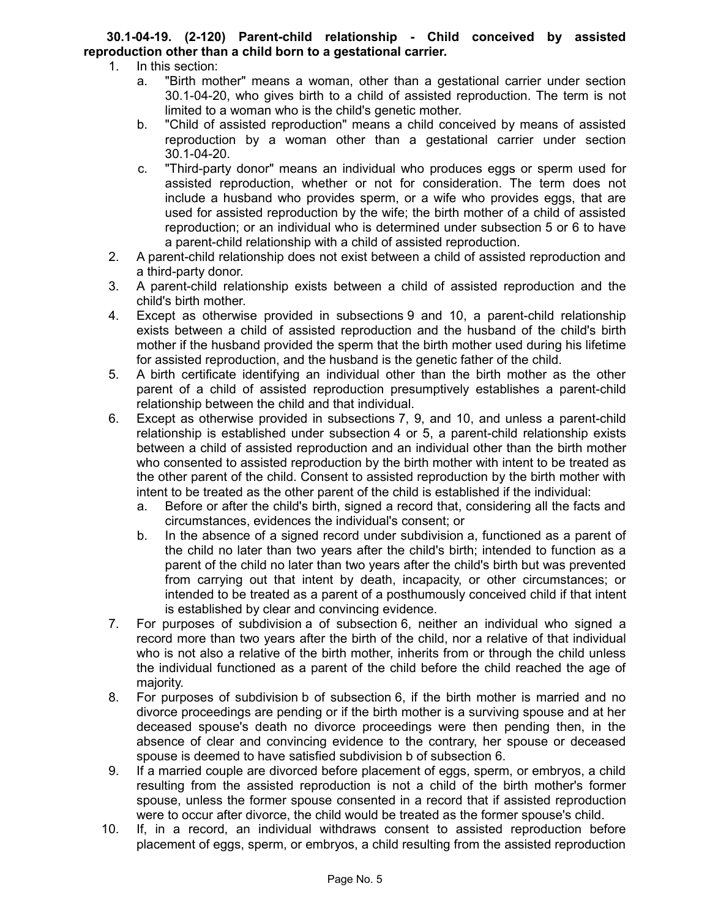# **30.1-04-19. (2-120) Parent-child relationship - Child conceived by assisted reproduction other than a child born to a gestational carrier.**

- 1. In this section:
	- a. "Birth mother" means a woman, other than a gestational carrier under section 30.1-04-20, who gives birth to a child of assisted reproduction. The term is not limited to a woman who is the child's genetic mother.
	- b. "Child of assisted reproduction" means a child conceived by means of assisted reproduction by a woman other than a gestational carrier under section 30.1-04-20.
	- c. "Third-party donor" means an individual who produces eggs or sperm used for assisted reproduction, whether or not for consideration. The term does not include a husband who provides sperm, or a wife who provides eggs, that are used for assisted reproduction by the wife; the birth mother of a child of assisted reproduction; or an individual who is determined under subsection 5 or 6 to have a parent-child relationship with a child of assisted reproduction.
- 2. A parent-child relationship does not exist between a child of assisted reproduction and a third-party donor.
- 3. A parent-child relationship exists between a child of assisted reproduction and the child's birth mother.
- 4. Except as otherwise provided in subsections 9 and 10, a parent-child relationship exists between a child of assisted reproduction and the husband of the child's birth mother if the husband provided the sperm that the birth mother used during his lifetime for assisted reproduction, and the husband is the genetic father of the child.
- 5. A birth certificate identifying an individual other than the birth mother as the other parent of a child of assisted reproduction presumptively establishes a parent-child relationship between the child and that individual.
- 6. Except as otherwise provided in subsections 7, 9, and 10, and unless a parent-child relationship is established under subsection 4 or 5, a parent-child relationship exists between a child of assisted reproduction and an individual other than the birth mother who consented to assisted reproduction by the birth mother with intent to be treated as the other parent of the child. Consent to assisted reproduction by the birth mother with intent to be treated as the other parent of the child is established if the individual:
	- a. Before or after the child's birth, signed a record that, considering all the facts and circumstances, evidences the individual's consent; or
	- b. In the absence of a signed record under subdivision a, functioned as a parent of the child no later than two years after the child's birth; intended to function as a parent of the child no later than two years after the child's birth but was prevented from carrying out that intent by death, incapacity, or other circumstances; or intended to be treated as a parent of a posthumously conceived child if that intent is established by clear and convincing evidence.
- 7. For purposes of subdivision a of subsection 6, neither an individual who signed a record more than two years after the birth of the child, nor a relative of that individual who is not also a relative of the birth mother, inherits from or through the child unless the individual functioned as a parent of the child before the child reached the age of majority.
- 8. For purposes of subdivision b of subsection 6, if the birth mother is married and no divorce proceedings are pending or if the birth mother is a surviving spouse and at her deceased spouse's death no divorce proceedings were then pending then, in the absence of clear and convincing evidence to the contrary, her spouse or deceased spouse is deemed to have satisfied subdivision b of subsection 6.
- 9. If a married couple are divorced before placement of eggs, sperm, or embryos, a child resulting from the assisted reproduction is not a child of the birth mother's former spouse, unless the former spouse consented in a record that if assisted reproduction were to occur after divorce, the child would be treated as the former spouse's child.
- 10. If, in a record, an individual withdraws consent to assisted reproduction before placement of eggs, sperm, or embryos, a child resulting from the assisted reproduction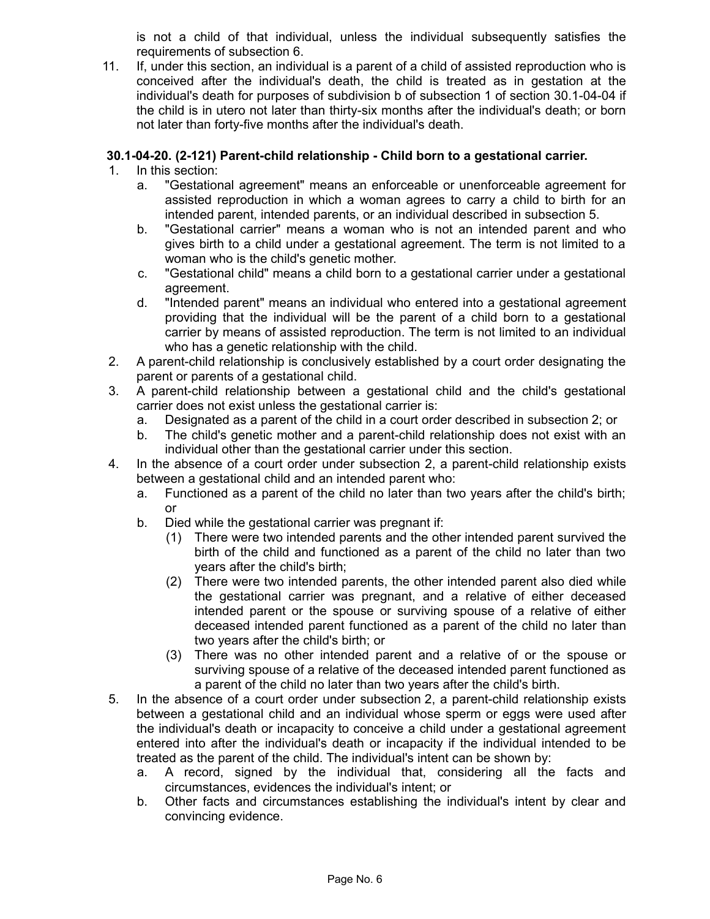is not a child of that individual, unless the individual subsequently satisfies the requirements of subsection 6.

11. If, under this section, an individual is a parent of a child of assisted reproduction who is conceived after the individual's death, the child is treated as in gestation at the individual's death for purposes of subdivision b of subsection 1 of section 30.1-04-04 if the child is in utero not later than thirty-six months after the individual's death; or born not later than forty-five months after the individual's death.

# **30.1-04-20. (2-121) Parent-child relationship - Child born to a gestational carrier.**

- 1. In this section:
	- a. "Gestational agreement" means an enforceable or unenforceable agreement for assisted reproduction in which a woman agrees to carry a child to birth for an intended parent, intended parents, or an individual described in subsection 5.
	- b. "Gestational carrier" means a woman who is not an intended parent and who gives birth to a child under a gestational agreement. The term is not limited to a woman who is the child's genetic mother.
	- c. "Gestational child" means a child born to a gestational carrier under a gestational agreement.
	- d. "Intended parent" means an individual who entered into a gestational agreement providing that the individual will be the parent of a child born to a gestational carrier by means of assisted reproduction. The term is not limited to an individual who has a genetic relationship with the child.
- 2. A parent-child relationship is conclusively established by a court order designating the parent or parents of a gestational child.
- 3. A parent-child relationship between a gestational child and the child's gestational carrier does not exist unless the gestational carrier is:
	- a. Designated as a parent of the child in a court order described in subsection 2; or
	- b. The child's genetic mother and a parent-child relationship does not exist with an individual other than the gestational carrier under this section.
- 4. In the absence of a court order under subsection 2, a parent-child relationship exists between a gestational child and an intended parent who:
	- a. Functioned as a parent of the child no later than two years after the child's birth; or
	- b. Died while the gestational carrier was pregnant if:
		- (1) There were two intended parents and the other intended parent survived the birth of the child and functioned as a parent of the child no later than two years after the child's birth;
		- (2) There were two intended parents, the other intended parent also died while the gestational carrier was pregnant, and a relative of either deceased intended parent or the spouse or surviving spouse of a relative of either deceased intended parent functioned as a parent of the child no later than two years after the child's birth; or
		- (3) There was no other intended parent and a relative of or the spouse or surviving spouse of a relative of the deceased intended parent functioned as a parent of the child no later than two years after the child's birth.
- 5. In the absence of a court order under subsection 2, a parent-child relationship exists between a gestational child and an individual whose sperm or eggs were used after the individual's death or incapacity to conceive a child under a gestational agreement entered into after the individual's death or incapacity if the individual intended to be treated as the parent of the child. The individual's intent can be shown by:
	- a. A record, signed by the individual that, considering all the facts and circumstances, evidences the individual's intent; or
	- b. Other facts and circumstances establishing the individual's intent by clear and convincing evidence.